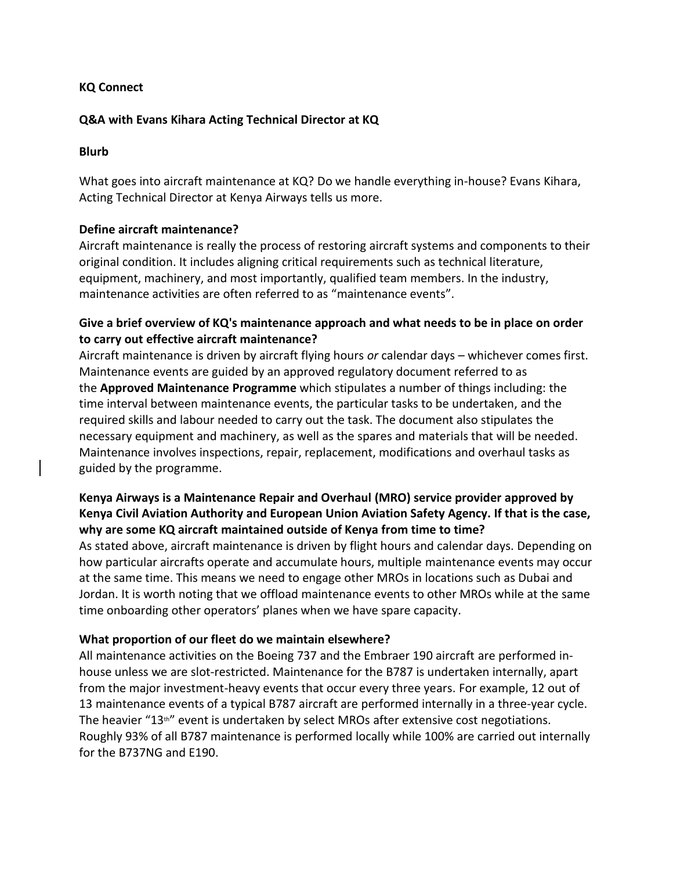### **KQ Connect**

#### **Q&A with Evans Kihara Acting Technical Director at KQ**

#### **Blurb**

What goes into aircraft maintenance at KQ? Do we handle everything in-house? Evans Kihara, Acting Technical Director at Kenya Airways tells us more.

### **Define aircraft maintenance?**

Aircraft maintenance is really the process of restoring aircraft systems and components to their original condition. It includes aligning critical requirements such as technical literature, equipment, machinery, and most importantly, qualified team members. In the industry, maintenance activities are often referred to as "maintenance events".

# **Give a brief overview of KQ's maintenance approach and what needs to be in place on order to carry out effective aircraft maintenance?**

Aircraft maintenance is driven by aircraft flying hours *or* calendar days – whichever comes first. Maintenance events are guided by an approved regulatory document referred to as the **Approved Maintenance Programme** which stipulates a number of things including: the time interval between maintenance events, the particular tasks to be undertaken, and the required skills and labour needed to carry out the task. The document also stipulates the necessary equipment and machinery, as well as the spares and materials that will be needed. Maintenance involves inspections, repair, replacement, modifications and overhaul tasks as guided by the programme.

# **Kenya Airways is a Maintenance Repair and Overhaul (MRO) service provider approved by Kenya Civil Aviation Authority and European Union Aviation Safety Agency. If that is the case, why are some KQ aircraft maintained outside of Kenya from time to time?**

As stated above, aircraft maintenance is driven by flight hours and calendar days. Depending on how particular aircrafts operate and accumulate hours, multiple maintenance events may occur at the same time. This means we need to engage other MROs in locations such as Dubai and Jordan. It is worth noting that we offload maintenance events to other MROs while at the same time onboarding other operators' planes when we have spare capacity.

#### **What proportion of our fleet do we maintain elsewhere?**

All maintenance activities on the Boeing 737 and the Embraer 190 aircraft are performed inhouse unless we are slot-restricted. Maintenance for the B787 is undertaken internally, apart from the major investment-heavy events that occur every three years. For example, 12 out of 13 maintenance events of a typical B787 aircraft are performed internally in a three-year cycle. The heavier " $13<sup>th</sup>$ " event is undertaken by select MROs after extensive cost negotiations. Roughly 93% of all B787 maintenance is performed locally while 100% are carried out internally for the B737NG and E190.